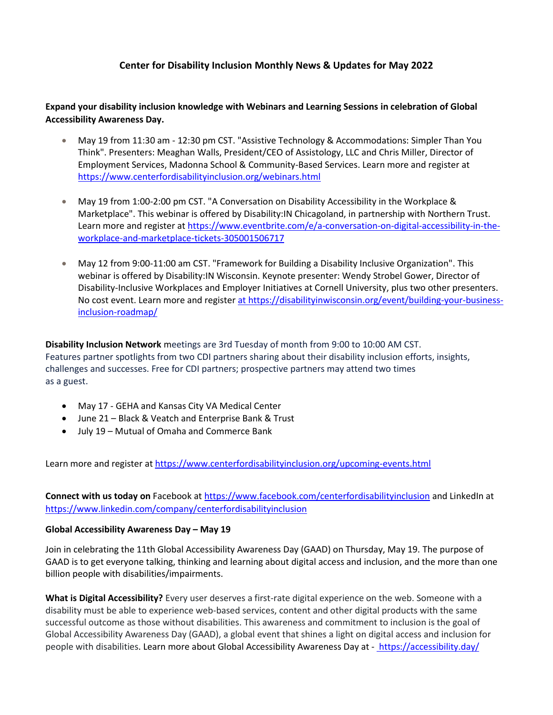# **Center for Disability Inclusion Monthly News & Updates for May 2022**

**Expand your disability inclusion knowledge with Webinars and Learning Sessions in celebration of Global Accessibility Awareness Day.**

- May 19 from 11:30 am 12:30 pm CST. "Assistive Technology & Accommodations: Simpler Than You Think". Presenters: Meaghan Walls, President/CEO of Assistology, LLC and Chris Miller, Director of Employment Services, Madonna School & Community-Based Services. [Learn more and register](https://www.centerfordisabilityinclusion.org/webinars.html) at <https://www.centerfordisabilityinclusion.org/webinars.html>
- May 19 from 1:00-2:00 pm CST. "A Conversation on Disability Accessibility in the Workplace & Marketplace". This webinar is offered by Disability:IN Chicagoland, in partnership with Northern Trust. Learn more and register at [https://www.eventbrite.com/e/a-conversation-on-digital-accessibility-in-the](https://www.eventbrite.com/e/a-conversation-on-digital-accessibility-in-the-workplace-and-marketplace-tickets-305001506717)[workplace-and-marketplace-tickets-305001506717](https://www.eventbrite.com/e/a-conversation-on-digital-accessibility-in-the-workplace-and-marketplace-tickets-305001506717)
- May 12 from 9:00-11:00 am CST. "Framework for Building a Disability Inclusive Organization". This webinar is offered by Disability:IN Wisconsin. Keynote presenter: Wendy Strobel Gower, Director of Disability-Inclusive Workplaces and Employer Initiatives at Cornell University, plus two other presenters. No cost event. Learn more and registe[r at https://disabilityinwisconsin.org/event/building-your-business](at%20https:/disabilityinwisconsin.org/event/building-your-business-inclusion-roadmap/)[inclusion-roadmap/](at%20https:/disabilityinwisconsin.org/event/building-your-business-inclusion-roadmap/)

**Disability Inclusion Network** meetings are 3rd Tuesday of month from 9:00 to 10:00 AM CST. Features partner spotlights from two CDI partners sharing about their disability inclusion efforts, insights, challenges and successes. Free for CDI partners; prospective partners may attend two times as a guest.

- May 17 GEHA and Kansas City VA Medical Center
- June 21 Black & Veatch and Enterprise Bank & Trust
- July 19 Mutual of Omaha and Commerce Bank

[Learn more and register](https://www.centerfordisabilityinclusion.org/upcoming-events.html) at<https://www.centerfordisabilityinclusion.org/upcoming-events.html>

**Connect with us today on** Facebook at<https://www.facebook.com/centerfordisabilityinclusion> and LinkedIn at <https://www.linkedin.com/company/centerfordisabilityinclusion>

### **Global Accessibility Awareness Day – May 19**

Join in celebrating the 11th Global Accessibility Awareness Day (GAAD) on Thursday, May 19. The purpose of GAAD is to get everyone talking, thinking and learning about digital access and inclusion, and the more than one billion people with disabilities/impairments.

**What is Digital Accessibility?** Every user deserves a first-rate digital experience on the web. Someone with a disability must be able to experience web-based services, content and other digital products with the same successful outcome as those without disabilities. This awareness and commitment to inclusion is the goal of Global Accessibility Awareness Day (GAAD), a global event that shines a light on digital access and inclusion for people with disabilities. [Learn more about Global Accessibility Awareness Day at -](https://accessibility.day/) <https://accessibility.day/>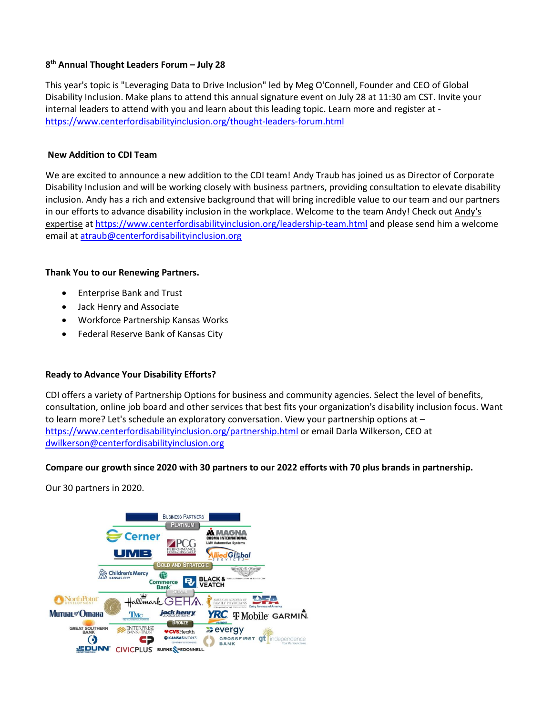## **8 th Annual Thought Leaders Forum – July 28**

This year's topic is "Leveraging Data to Drive Inclusion" led by Meg O'Connell, Founder and CEO of Global Disability Inclusion. Make plans to attend this annual signature event on July 28 at 11:30 am CST. Invite your internal leaders to attend with you and learn about this leading topic. Learn more and register at <https://www.centerfordisabilityinclusion.org/thought-leaders-forum.html>

### **New Addition to CDI Team**

We are excited to announce a new addition to the CDI team! Andy Traub has joined us as Director of Corporate Disability Inclusion and will be working closely with business partners, providing consultation to elevate disability inclusion. Andy has a rich and extensive background that will bring incredible value to our team and our partners in our efforts to advance disability inclusion in the workplace. Welcome to the team Andy! Check out [Andy's](https://www.centerfordisabilityinclusion.org/leadership-team.html)  [expertise](https://www.centerfordisabilityinclusion.org/leadership-team.html) at <https://www.centerfordisabilityinclusion.org/leadership-team.html> and please send him a welcome email at [atraub@centerfordisabilityinclusion.org](mailto:atraub@centerfordisabilityinclusion.org)

## **Thank You to our Renewing Partners.**

- Enterprise Bank and Trust
- Jack Henry and Associate
- Workforce Partnership Kansas Works
- Federal Reserve Bank of Kansas City

## **Ready to Advance Your Disability Efforts?**

CDI offers a variety of Partnership Options for business and community agencies. Select the level of benefits, consultation, online job board and other services that best fits your organization's disability inclusion focus. Want to learn more? Let's schedule an exploratory conversation. View your partnership options at – <https://www.centerfordisabilityinclusion.org/partnership.html> or email Darla Wilkerson, CEO at [dwilkerson@centerfordisabilityinclusion.org](mailto:dwilkerson@centerfordisabilityinclusion.org)

### **Compare our growth since 2020 with 30 partners to our 2022 efforts with 70 plus brands in partnership.**

Our 30 partners in 2020.